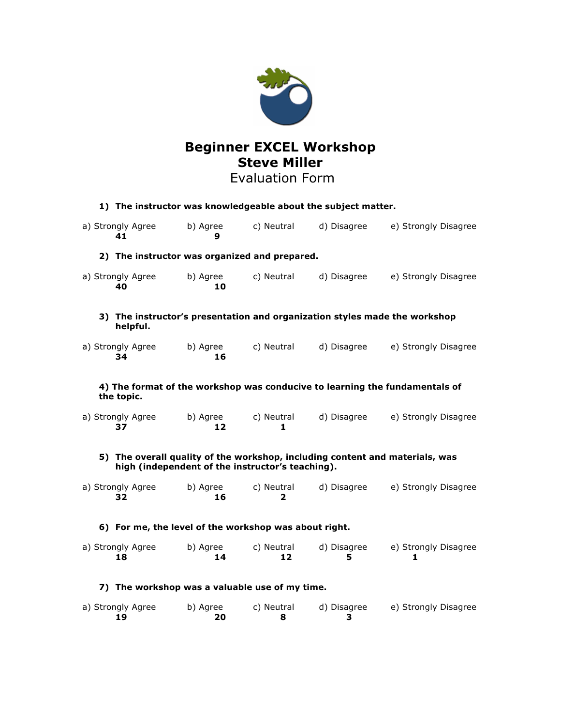

# **Beginner EXCEL Workshop Steve Miller**

## Evaluation Form

| 1) The instructor was knowledgeable about the subject matter.                                                                    |                |                  |                  |                           |
|----------------------------------------------------------------------------------------------------------------------------------|----------------|------------------|------------------|---------------------------|
| a) Strongly Agree<br>41                                                                                                          | b) Agree<br>9  | c) Neutral       | d) Disagree      | e) Strongly Disagree      |
| 2) The instructor was organized and prepared.                                                                                    |                |                  |                  |                           |
| a) Strongly Agree<br>40                                                                                                          | b) Agree<br>10 | c) Neutral       | d) Disagree      | e) Strongly Disagree      |
| 3) The instructor's presentation and organization styles made the workshop<br>helpful.                                           |                |                  |                  |                           |
| a) Strongly Agree<br>34                                                                                                          | b) Agree<br>16 | c) Neutral       | d) Disagree      | e) Strongly Disagree      |
| 4) The format of the workshop was conducive to learning the fundamentals of<br>the topic.                                        |                |                  |                  |                           |
| a) Strongly Agree<br>37                                                                                                          | b) Agree<br>12 | c) Neutral<br>1  | d) Disagree      | e) Strongly Disagree      |
| 5) The overall quality of the workshop, including content and materials, was<br>high (independent of the instructor's teaching). |                |                  |                  |                           |
| a) Strongly Agree<br>32                                                                                                          | b) Agree<br>16 | c) Neutral<br>2  | d) Disagree      | e) Strongly Disagree      |
| 6) For me, the level of the workshop was about right.                                                                            |                |                  |                  |                           |
| a) Strongly Agree<br>18                                                                                                          | b) Agree<br>14 | c) Neutral<br>12 | d) Disagree<br>5 | e) Strongly Disagree<br>1 |
| 7) The workshop was a valuable use of my time.                                                                                   |                |                  |                  |                           |
| a) Strongly Agree<br>19                                                                                                          | b) Agree<br>20 | c) Neutral<br>8  | d) Disagree<br>3 | e) Strongly Disagree      |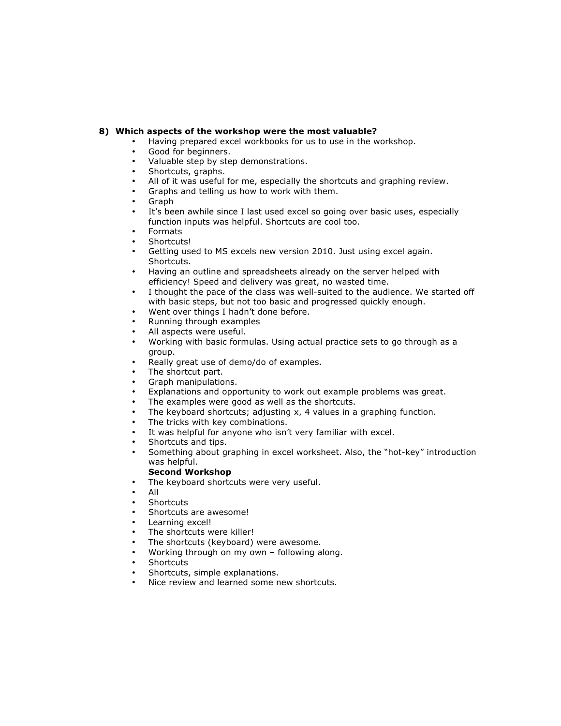### **8) Which aspects of the workshop were the most valuable?**

- Having prepared excel workbooks for us to use in the workshop.
- Good for beginners.
- Valuable step by step demonstrations.
- Shortcuts, graphs.
- All of it was useful for me, especially the shortcuts and graphing review.
- Graphs and telling us how to work with them.
- Graph
- It's been awhile since I last used excel so going over basic uses, especially function inputs was helpful. Shortcuts are cool too.
- Formats
- Shortcuts!
- Getting used to MS excels new version 2010. Just using excel again. Shortcuts.
- Having an outline and spreadsheets already on the server helped with efficiency! Speed and delivery was great, no wasted time.
- I thought the pace of the class was well-suited to the audience. We started off with basic steps, but not too basic and progressed quickly enough.
- Went over things I hadn't done before.
- Running through examples
- All aspects were useful.
- Working with basic formulas. Using actual practice sets to go through as a group.
- Really great use of demo/do of examples.
- The shortcut part.
- Graph manipulations.
- Explanations and opportunity to work out example problems was great.
- The examples were good as well as the shortcuts.
- The keyboard shortcuts; adjusting  $x$ , 4 values in a graphing function.
- The tricks with key combinations.
- It was helpful for anyone who isn't very familiar with excel.
- Shortcuts and tips.
- Something about graphing in excel worksheet. Also, the "hot-key" introduction was helpful.

#### **Second Workshop**

- The keyboard shortcuts were very useful.
- All
- **Shortcuts**
- Shortcuts are awesome!
- Learning excel!
- The shortcuts were killer!
- The shortcuts (keyboard) were awesome.
- Working through on my own following along.
- **Shortcuts**
- Shortcuts, simple explanations.
- Nice review and learned some new shortcuts.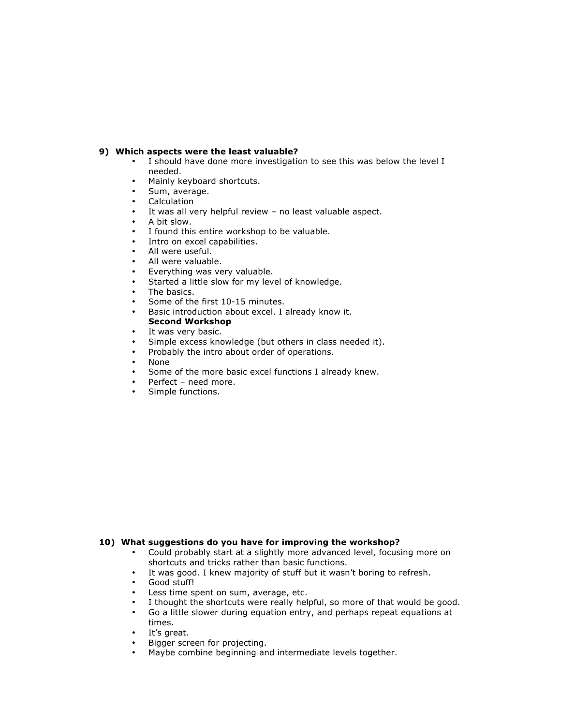#### **9) Which aspects were the least valuable?**

- I should have done more investigation to see this was below the level I needed.
- Mainly keyboard shortcuts.
- Sum, average.
- **Calculation**
- It was all very helpful review no least valuable aspect.
- A bit slow.
- I found this entire workshop to be valuable.
- Intro on excel capabilities.
- All were useful.
- All were valuable.<br>• Evenything was ve
- Everything was very valuable.
- Started a little slow for my level of knowledge.
- The basics.
- Some of the first 10-15 minutes.
- Basic introduction about excel. I already know it. **Second Workshop**
- It was very basic.
- Simple excess knowledge (but others in class needed it).
- Probably the intro about order of operations.
- None
- Some of the more basic excel functions I already knew.
- Perfect need more.<br>• Simple functions
- Simple functions.

#### **10) What suggestions do you have for improving the workshop?**

- Could probably start at a slightly more advanced level, focusing more on shortcuts and tricks rather than basic functions.
- It was good. I knew majority of stuff but it wasn't boring to refresh.<br>• Good stuffl
- Good stuff!<br>• Less time s
- Less time spent on sum, average, etc.
- I thought the shortcuts were really helpful, so more of that would be good.<br>• Go a little slower during equation entry, and perhans repeat equations at
- Go a little slower during equation entry, and perhaps repeat equations at times.
- It's great.
- Bigger screen for projecting.
- Maybe combine beginning and intermediate levels together.